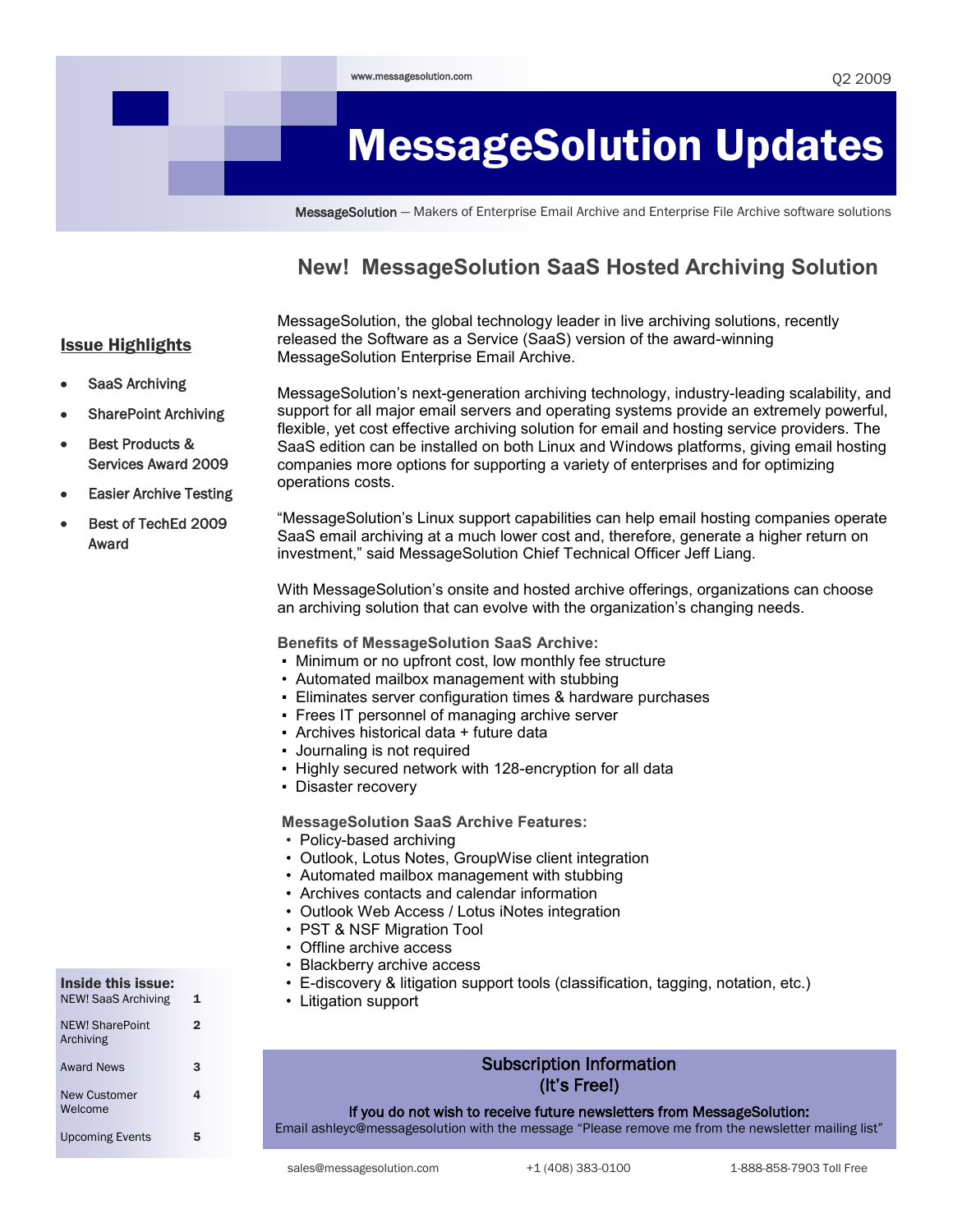# MessageSolution Updates

MessageSolution — Makers of Enterprise Email Archive and Enterprise File Archive software solutions

### **New! MessageSolution SaaS Hosted Archiving Solution**

MessageSolution, the global technology leader in live archiving solutions, recently released the Software as a Service (SaaS) version of the award-winning MessageSolution Enterprise Email Archive.

SaaS Archiving

Issue Highlights

- SharePoint Archiving
- Best Products & Services Award 2009
- Easier Archive Testing
- Best of TechEd 2009 Award

MessageSolution's next-generation archiving technology, industry-leading scalability, and support for all major email servers and operating systems provide an extremely powerful, flexible, yet cost effective archiving solution for email and hosting service providers. The SaaS edition can be installed on both Linux and Windows platforms, giving email hosting companies more options for supporting a variety of enterprises and for optimizing operations costs.

―MessageSolution's Linux support capabilities can help email hosting companies operate SaaS email archiving at a much lower cost and, therefore, generate a higher return on investment," said MessageSolution Chief Technical Officer Jeff Liang.

With MessageSolution's onsite and hosted archive offerings, organizations can choose an archiving solution that can evolve with the organization's changing needs.

**Benefits of MessageSolution SaaS Archive:**

- Minimum or no upfront cost, low monthly fee structure
- Automated mailbox management with stubbing
- **Eliminates server configuration times & hardware purchases**
- Frees IT personnel of managing archive server
- Archives historical data + future data
- Journaling is not required
- Highly secured network with 128-encryption for all data
- Disaster recovery

**MessageSolution SaaS Archive Features:**

- Policy-based archiving
- Outlook, Lotus Notes, GroupWise client integration
- Automated mailbox management with stubbing
- Archives contacts and calendar information
- Outlook Web Access / Lotus iNotes integration
- PST & NSF Migration Tool
- Offline archive access
- Blackberry archive access
- E-discovery & litigation support tools (classification, tagging, notation, etc.)
- Litigation support

### Subscription Information (It's Free!)

If you do not wish to receive future newsletters from MessageSolution:

Email ashleyc@messagesolution with the message "Please remove me from the newsletter mailing list"

Inside this issue: NEW! SaaS Archiving 1

| <b>NEW! SharePoint</b><br>Archiving | 2 |
|-------------------------------------|---|
| <b>Award News</b>                   | 3 |
| New Customer<br>Welcome             | 4 |
| <b>Upcoming Events</b>              | h |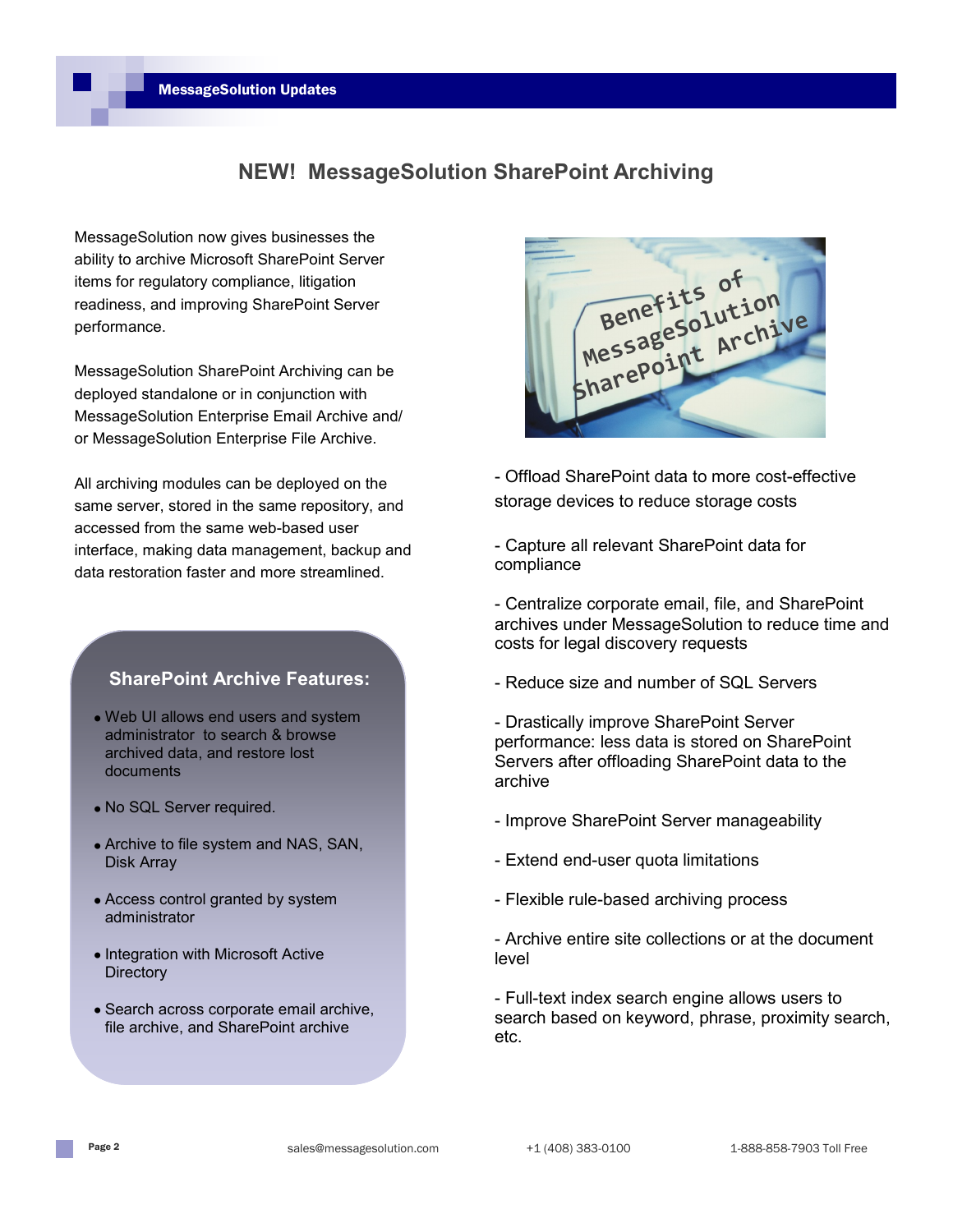

MessageSolution now gives businesses the ability to archive Microsoft SharePoint Server items for regulatory compliance, litigation readiness, and improving SharePoint Server performance.

MessageSolution SharePoint Archiving can be deployed standalone or in conjunction with MessageSolution Enterprise Email Archive and/ or MessageSolution Enterprise File Archive.

All archiving modules can be deployed on the same server, stored in the same repository, and accessed from the same web-based user interface, making data management, backup and data restoration faster and more streamlined.

### **SharePoint Archive Features:**

- Web UI allows end users and system administrator to search & browse archived data, and restore lost documents
- No SQL Server required.
- Archive to file system and NAS, SAN, Disk Array
- Access control granted by system administrator
- Integration with Microsoft Active **Directory**
- Search across corporate email archive, file archive, and SharePoint archive



- Offload SharePoint data to more cost-effective storage devices to reduce storage costs

- Capture all relevant SharePoint data for compliance

- Centralize corporate email, file, and SharePoint archives under MessageSolution to reduce time and costs for legal discovery requests
- Reduce size and number of SQL Servers
- Drastically improve SharePoint Server performance: less data is stored on SharePoint Servers after offloading SharePoint data to the archive
- Improve SharePoint Server manageability
- Extend end-user quota limitations
- Flexible rule-based archiving process

- Archive entire site collections or at the document level

- Full-text index search engine allows users to search based on keyword, phrase, proximity search, etc.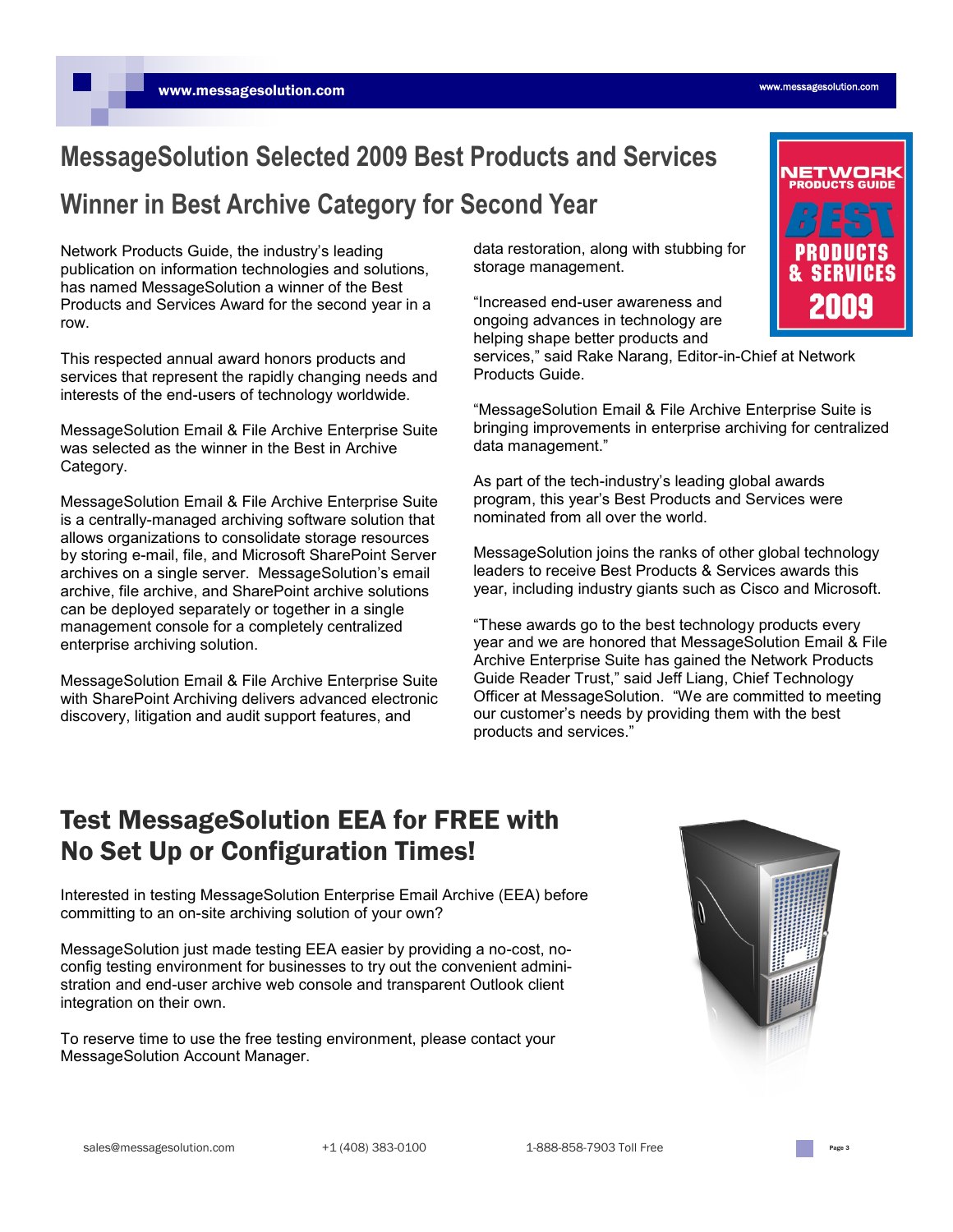## **MessageSolution Selected 2009 Best Products and Services**

### **Winner in Best Archive Category for Second Year**

Network Products Guide, the industry's leading publication on information technologies and solutions, has named MessageSolution a winner of the Best Products and Services Award for the second year in a row.

This respected annual award honors products and services that represent the rapidly changing needs and interests of the end-users of technology worldwide.

MessageSolution Email & File Archive Enterprise Suite was selected as the winner in the Best in Archive Category.

MessageSolution Email & File Archive Enterprise Suite is a centrally-managed archiving software solution that allows organizations to consolidate storage resources by storing e-mail, file, and Microsoft SharePoint Server archives on a single server. MessageSolution's email archive, file archive, and SharePoint archive solutions can be deployed separately or together in a single management console for a completely centralized enterprise archiving solution.

MessageSolution Email & File Archive Enterprise Suite with SharePoint Archiving delivers advanced electronic discovery, litigation and audit support features, and

data restoration, along with stubbing for storage management.

"Increased end-user awareness and ongoing advances in technology are helping shape better products and

services," said Rake Narang, Editor-in-Chief at Network Products Guide.

―MessageSolution Email & File Archive Enterprise Suite is bringing improvements in enterprise archiving for centralized data management."

As part of the tech-industry's leading global awards program, this year's Best Products and Services were nominated from all over the world.

MessageSolution joins the ranks of other global technology leaders to receive Best Products & Services awards this year, including industry giants such as Cisco and Microsoft.

―These awards go to the best technology products every year and we are honored that MessageSolution Email & File Archive Enterprise Suite has gained the Network Products Guide Reader Trust," said Jeff Liang, Chief Technology Officer at MessageSolution. "We are committed to meeting our customer's needs by providing them with the best products and services."

### Test MessageSolution EEA for FREE with No Set Up or Configuration Times!

Interested in testing MessageSolution Enterprise Email Archive (EEA) before committing to an on-site archiving solution of your own?

MessageSolution just made testing EEA easier by providing a no-cost, noconfig testing environment for businesses to try out the convenient administration and end-user archive web console and transparent Outlook client integration on their own.

To reserve time to use the free testing environment, please contact your MessageSolution Account Manager.





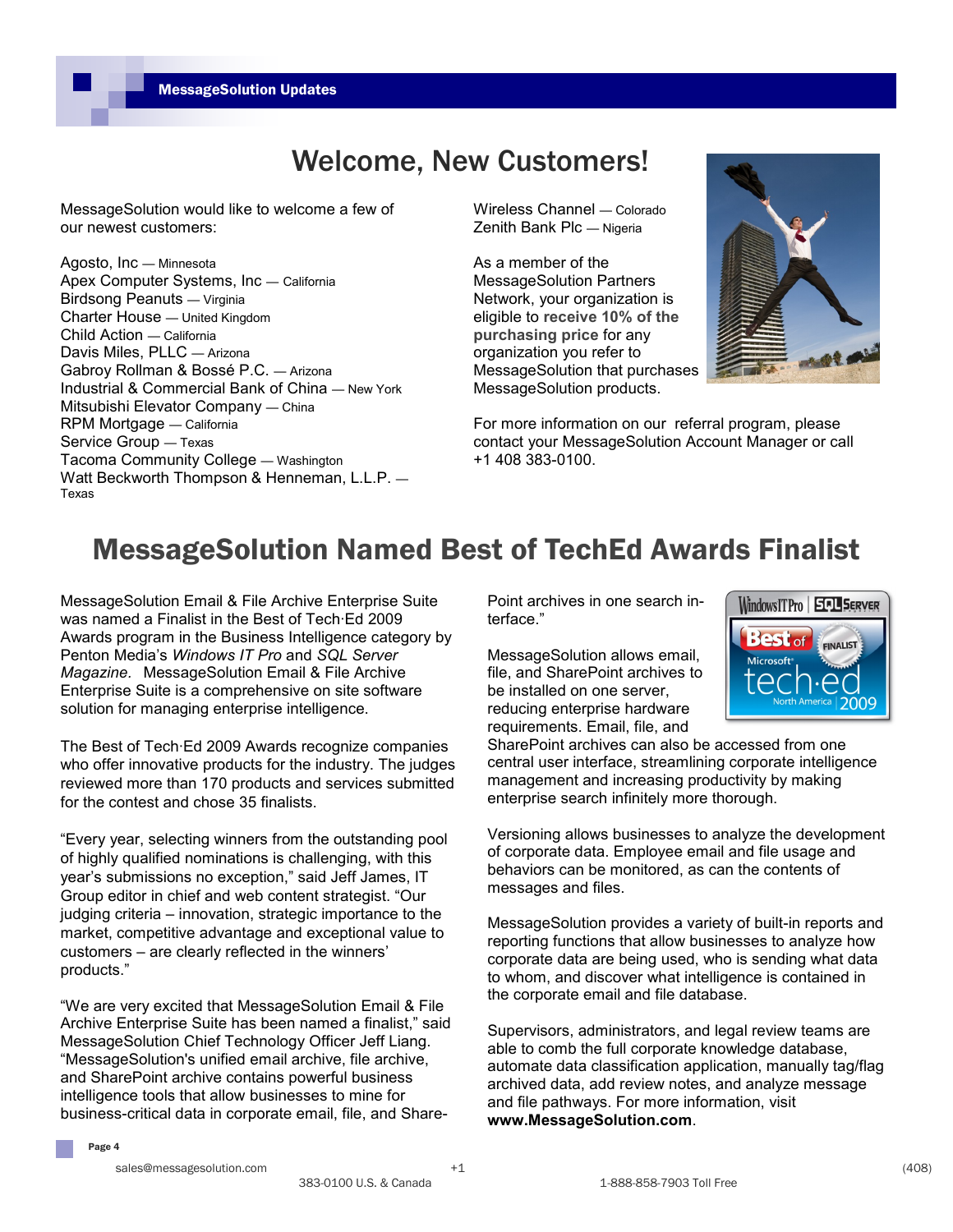# Welcome, New Customers!

MessageSolution would like to welcome a few of our newest customers:

Agosto, Inc — Minnesota Apex Computer Systems, Inc — California Birdsong Peanuts — Virginia Charter House — United Kingdom Child Action — California Davis Miles, PLLC — Arizona Gabroy Rollman & Bossé P.C. — Arizona Industrial & Commercial Bank of China — New York Mitsubishi Elevator Company — China RPM Mortgage — California Service Group — Texas Tacoma Community College — Washington Watt Beckworth Thompson & Henneman, L.L.P. — Texas

Wireless Channel — Colorado Zenith Bank Plc — Nigeria

As a member of the MessageSolution Partners Network, your organization is eligible to **receive 10% of the purchasing price** for any organization you refer to MessageSolution that purchases MessageSolution products.



For more information on our referral program, please contact your MessageSolution Account Manager or call +1 408 383-0100.

# MessageSolution Named Best of TechEd Awards Finalist

MessageSolution Email & File Archive Enterprise Suite was named a Finalist in the Best of Tech·Ed 2009 Awards program in the Business Intelligence category by Penton Media's *Windows IT Pro* and *SQL Server Magazine.* MessageSolution Email & File Archive Enterprise Suite is a comprehensive on site software solution for managing enterprise intelligence.

The Best of Tech·Ed 2009 Awards recognize companies who offer innovative products for the industry. The judges reviewed more than 170 products and services submitted for the contest and chose 35 finalists.

―Every year, selecting winners from the outstanding pool of highly qualified nominations is challenging, with this year's submissions no exception," said Jeff James, IT Group editor in chief and web content strategist. "Our judging criteria – innovation, strategic importance to the market, competitive advantage and exceptional value to customers – are clearly reflected in the winners' products."

"We are very excited that MessageSolution Email & File Archive Enterprise Suite has been named a finalist," said MessageSolution Chief Technology Officer Jeff Liang. ―MessageSolution's unified email archive, file archive, and SharePoint archive contains powerful business intelligence tools that allow businesses to mine for business-critical data in corporate email, file, and SharePoint archives in one search interface."

MessageSolution allows email, file, and SharePoint archives to be installed on one server, reducing enterprise hardware requirements. Email, file, and



SharePoint archives can also be accessed from one central user interface, streamlining corporate intelligence management and increasing productivity by making enterprise search infinitely more thorough.

Versioning allows businesses to analyze the development of corporate data. Employee email and file usage and behaviors can be monitored, as can the contents of messages and files.

MessageSolution provides a variety of built-in reports and reporting functions that allow businesses to analyze how corporate data are being used, who is sending what data to whom, and discover what intelligence is contained in the corporate email and file database.

Supervisors, administrators, and legal review teams are able to comb the full corporate knowledge database, automate data classification application, manually tag/flag archived data, add review notes, and analyze message and file pathways. For more information, visit **www.MessageSolution.com**.